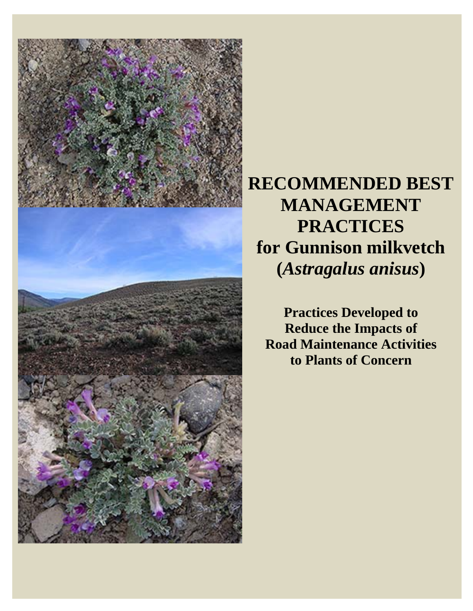

# **RECOMMENDED BEST MANAGEMENT PRACTICES for Gunnison milkvetch (***Astragalus anisus***)**

**Practices Developed to Reduce the Impacts of Road Maintenance Activities to Plants of Concern**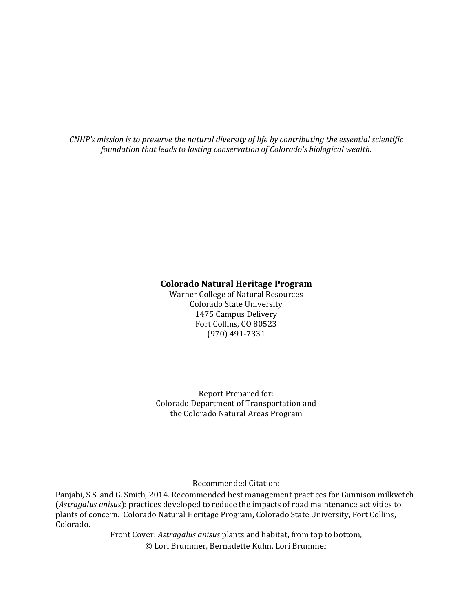*CNHP's mission is to preserve the natural diversity of life by contributing the essential scientific foundation that leads to lasting conservation of Colorado's biological wealth.*

#### **Colorado Natural Heritage Program**

Warner College of Natural Resources Colorado State University 1475 Campus Delivery Fort Collins, CO 80523 (970) 491‐7331 

Report Prepared for: Colorado Department of Transportation and the Colorado Natural Areas Program

Recommended Citation: 

Panjabi, S.S. and G. Smith, 2014. Recommended best management practices for Gunnison milkvetch (Astragalus anisus): practices developed to reduce the impacts of road maintenance activities to plants of concern. Colorado Natural Heritage Program, Colorado State University, Fort Collins, Colorado. 

> Front Cover: Astragalus anisus plants and habitat, from top to bottom, © Lori Brummer, Bernadette Kuhn, Lori Brummer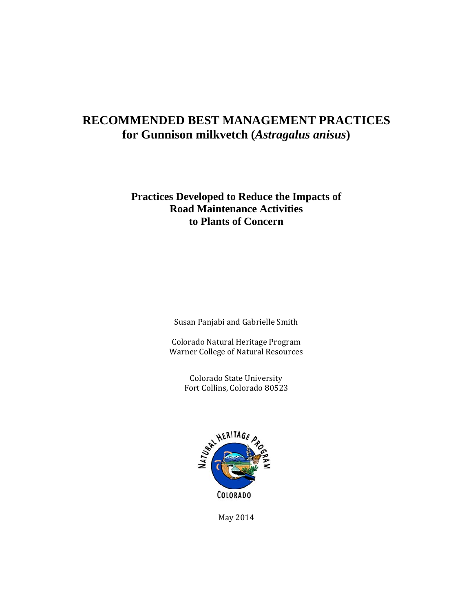### **RECOMMENDED BEST MANAGEMENT PRACTICES for Gunnison milkvetch (***Astragalus anisus***)**

### **Practices Developed to Reduce the Impacts of Road Maintenance Activities to Plants of Concern**

Susan Panjabi and Gabrielle Smith

Colorado Natural Heritage Program Warner College of Natural Resources

> Colorado State University Fort Collins, Colorado 80523



May 2014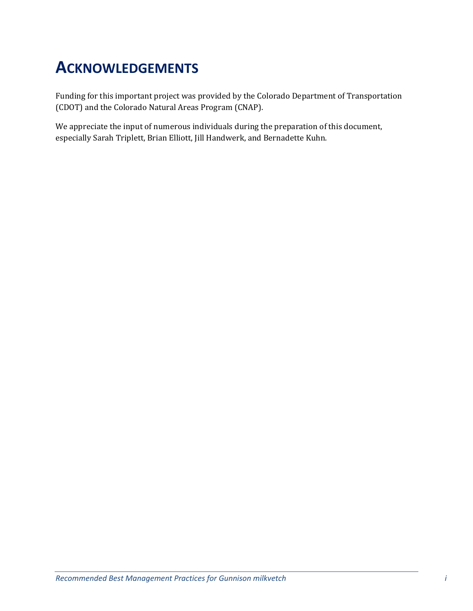# **ACKNOWLEDGEMENTS**

Funding for this important project was provided by the Colorado Department of Transportation (CDOT) and the Colorado Natural Areas Program (CNAP).

We appreciate the input of numerous individuals during the preparation of this document, especially Sarah Triplett, Brian Elliott, Jill Handwerk, and Bernadette Kuhn.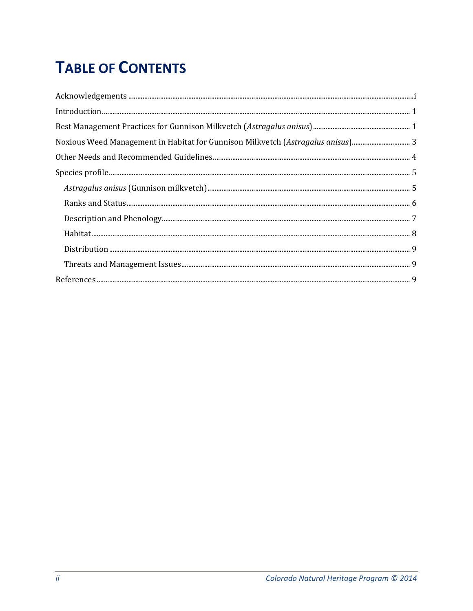# **TABLE OF CONTENTS**

| Noxious Weed Management in Habitat for Gunnison Milkvetch (Astragalus anisus) |
|-------------------------------------------------------------------------------|
|                                                                               |
|                                                                               |
|                                                                               |
|                                                                               |
|                                                                               |
|                                                                               |
|                                                                               |
|                                                                               |
|                                                                               |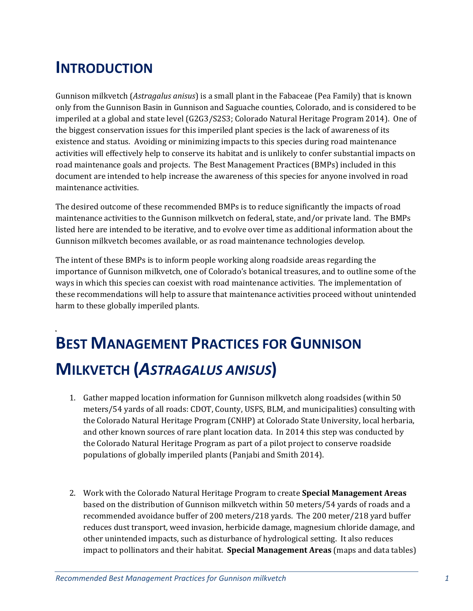## **INTRODUCTION**

Gunnison milkvetch (*Astragalus anisus*) is a small plant in the Fabaceae (Pea Family) that is known only from the Gunnison Basin in Gunnison and Saguache counties, Colorado, and is considered to be imperiled at a global and state level (G2G3/S2S3; Colorado Natural Heritage Program 2014). One of the biggest conservation issues for this imperiled plant species is the lack of awareness of its existence and status. Avoiding or minimizing impacts to this species during road maintenance activities will effectively help to conserve its habitat and is unlikely to confer substantial impacts on road maintenance goals and projects. The Best Management Practices (BMPs) included in this document are intended to help increase the awareness of this species for anyone involved in road maintenance activities.

The desired outcome of these recommended BMPs is to reduce significantly the impacts of road maintenance activities to the Gunnison milkvetch on federal, state, and/or private land. The BMPs listed here are intended to be iterative, and to evolve over time as additional information about the Gunnison milkvetch becomes available, or as road maintenance technologies develop.

The intent of these BMPs is to inform people working along roadside areas regarding the importance of Gunnison milkvetch, one of Colorado's botanical treasures, and to outline some of the ways in which this species can coexist with road maintenance activities. The implementation of these recommendations will help to assure that maintenance activities proceed without unintended harm to these globally imperiled plants.

# **BEST MANAGEMENT PRACTICES FOR GUNNISON MILKVETCH (***ASTRAGALUS ANISUS***)**

- 1. Gather mapped location information for Gunnison milkvetch along roadsides (within 50) meters/54 yards of all roads: CDOT, County, USFS, BLM, and municipalities) consulting with the Colorado Natural Heritage Program (CNHP) at Colorado State University, local herbaria, and other known sources of rare plant location data. In 2014 this step was conducted by the Colorado Natural Heritage Program as part of a pilot project to conserve roadside populations of globally imperiled plants (Panjabi and Smith 2014).
- 2. Work with the Colorado Natural Heritage Program to create **Special Management Areas** based on the distribution of Gunnison milkvetch within 50 meters/54 yards of roads and a recommended avoidance buffer of 200 meters/218 yards. The 200 meter/218 yard buffer reduces dust transport, weed invasion, herbicide damage, magnesium chloride damage, and other unintended impacts, such as disturbance of hydrological setting. It also reduces impact to pollinators and their habitat. **Special Management Areas** (maps and data tables)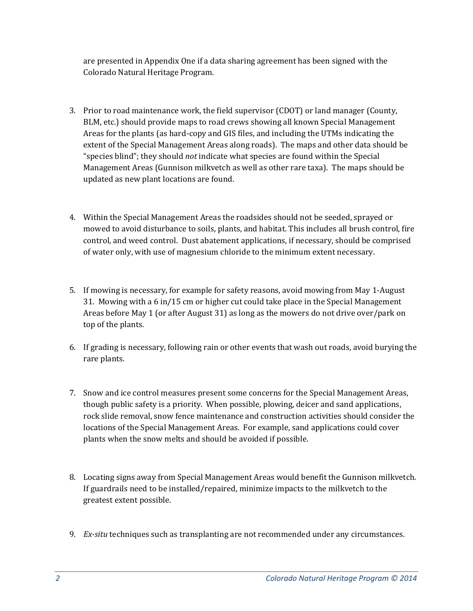are presented in Appendix One if a data sharing agreement has been signed with the Colorado Natural Heritage Program.

- 3. Prior to road maintenance work, the field supervisor (CDOT) or land manager (County, BLM, etc.) should provide maps to road crews showing all known Special Management Areas for the plants (as hard-copy and GIS files, and including the UTMs indicating the extent of the Special Management Areas along roads). The maps and other data should be "species blind"; they should *not* indicate what species are found within the Special Management Areas (Gunnison milkvetch as well as other rare taxa). The maps should be updated as new plant locations are found.
- 4. Within the Special Management Areas the roadsides should not be seeded, sprayed or mowed to avoid disturbance to soils, plants, and habitat. This includes all brush control, fire control, and weed control. Dust abatement applications, if necessary, should be comprised of water only, with use of magnesium chloride to the minimum extent necessary.
- 5. If mowing is necessary, for example for safety reasons, avoid mowing from May 1-August 31. Mowing with a 6 in/15 cm or higher cut could take place in the Special Management Areas before May 1 (or after August 31) as long as the mowers do not drive over/park on top of the plants.
- 6. If grading is necessary, following rain or other events that wash out roads, avoid burying the rare plants.
- 7. Snow and ice control measures present some concerns for the Special Management Areas, though public safety is a priority. When possible, plowing, deicer and sand applications, rock slide removal, snow fence maintenance and construction activities should consider the locations of the Special Management Areas. For example, sand applications could cover plants when the snow melts and should be avoided if possible.
- 8. Locating signs away from Special Management Areas would benefit the Gunnison milkvetch. If guardrails need to be installed/repaired, minimize impacts to the milkvetch to the greatest extent possible.
- 9. *Ex-situ* techniques such as transplanting are not recommended under any circumstances.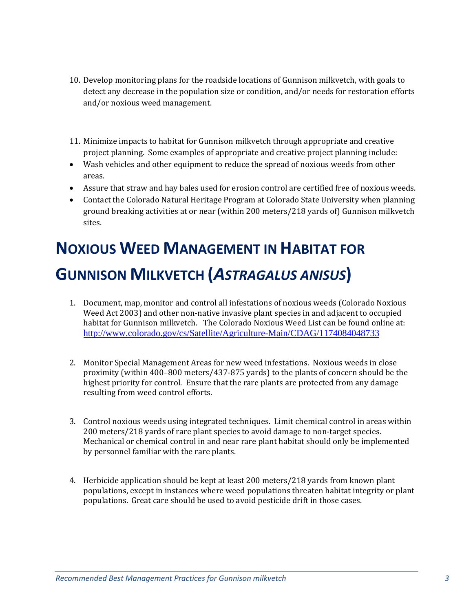- 10. Develop monitoring plans for the roadside locations of Gunnison milkvetch, with goals to detect any decrease in the population size or condition, and/or needs for restoration efforts and/or noxious weed management.
- 11. Minimize impacts to habitat for Gunnison milkvetch through appropriate and creative project planning. Some examples of appropriate and creative project planning include:
- Wash vehicles and other equipment to reduce the spread of noxious weeds from other areas.
- Assure that straw and hay bales used for erosion control are certified free of noxious weeds.
- Contact the Colorado Natural Heritage Program at Colorado State University when planning ground breaking activities at or near (within 200 meters/218 yards of) Gunnison milkvetch sites.

# **NOXIOUS WEED MANAGEMENT IN HABITAT FOR GUNNISON MILKVETCH (***ASTRAGALUS ANISUS***)**

- 1. Document, map, monitor and control all infestations of noxious weeds (Colorado Noxious Weed Act 2003) and other non-native invasive plant species in and adjacent to occupied habitat for Gunnison milkvetch. The Colorado Noxious Weed List can be found online at: http://www.colorado.gov/cs/Satellite/Agriculture-Main/CDAG/1174084048733
- 2. Monitor Special Management Areas for new weed infestations. Noxious weeds in close proximity (within  $400-800$  meters/437-875 yards) to the plants of concern should be the highest priority for control. Ensure that the rare plants are protected from any damage resulting from weed control efforts.
- 3. Control noxious weeds using integrated techniques. Limit chemical control in areas within 200 meters/218 yards of rare plant species to avoid damage to non-target species. Mechanical or chemical control in and near rare plant habitat should only be implemented by personnel familiar with the rare plants.
- 4. Herbicide application should be kept at least 200 meters/218 yards from known plant populations, except in instances where weed populations threaten habitat integrity or plant populations. Great care should be used to avoid pesticide drift in those cases.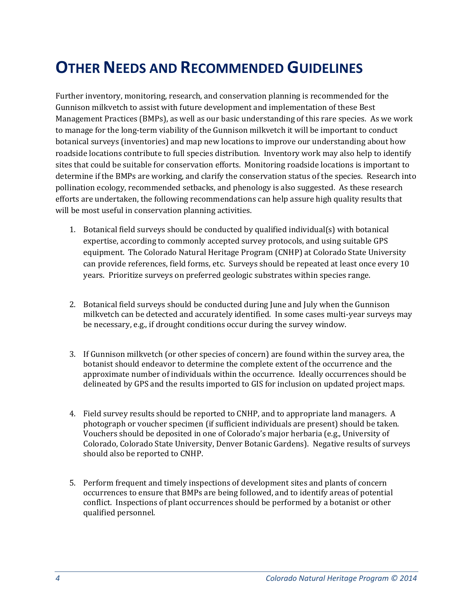## **OTHER NEEDS AND RECOMMENDED GUIDELINES**

Further inventory, monitoring, research, and conservation planning is recommended for the Gunnison milkvetch to assist with future development and implementation of these Best Management Practices (BMPs), as well as our basic understanding of this rare species. As we work to manage for the long-term viability of the Gunnison milkvetch it will be important to conduct botanical surveys (inventories) and map new locations to improve our understanding about how roadside locations contribute to full species distribution. Inventory work may also help to identify sites that could be suitable for conservation efforts. Monitoring roadside locations is important to determine if the BMPs are working, and clarify the conservation status of the species. Research into pollination ecology, recommended setbacks, and phenology is also suggested. As these research efforts are undertaken, the following recommendations can help assure high quality results that will be most useful in conservation planning activities.

- 1. Botanical field surveys should be conducted by qualified individual(s) with botanical expertise, according to commonly accepted survey protocols, and using suitable GPS equipment. The Colorado Natural Heritage Program (CNHP) at Colorado State University can provide references, field forms, etc. Surveys should be repeated at least once every 10 years. Prioritize surveys on preferred geologic substrates within species range.
- 2. Botanical field surveys should be conducted during June and July when the Gunnison milkvetch can be detected and accurately identified. In some cases multi-year surveys may be necessary, e.g., if drought conditions occur during the survey window.
- 3. If Gunnison milkvetch (or other species of concern) are found within the survey area, the botanist should endeavor to determine the complete extent of the occurrence and the approximate number of individuals within the occurrence. Ideally occurrences should be delineated by GPS and the results imported to GIS for inclusion on updated project maps.
- 4. Field survey results should be reported to CNHP, and to appropriate land managers. A photograph or voucher specimen (if sufficient individuals are present) should be taken. Vouchers should be deposited in one of Colorado's major herbaria (e.g., University of Colorado, Colorado State University, Denver Botanic Gardens). Negative results of surveys should also be reported to CNHP.
- 5. Perform frequent and timely inspections of development sites and plants of concern occurrences to ensure that BMPs are being followed, and to identify areas of potential conflict. Inspections of plant occurrences should be performed by a botanist or other qualified personnel.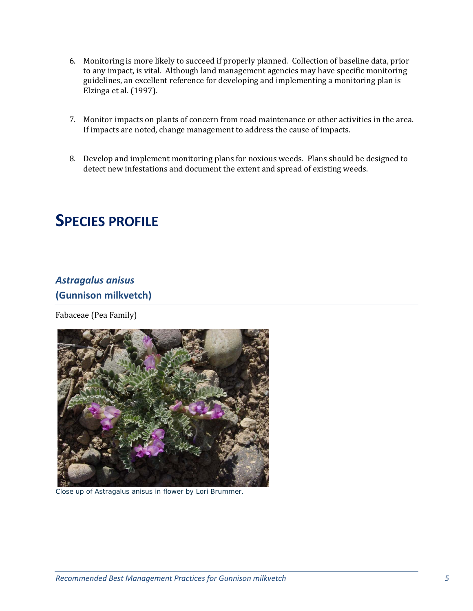- 6. Monitoring is more likely to succeed if properly planned. Collection of baseline data, prior to any impact, is vital. Although land management agencies may have specific monitoring guidelines, an excellent reference for developing and implementing a monitoring plan is Elzinga et al. (1997).
- 7. Monitor impacts on plants of concern from road maintenance or other activities in the area. If impacts are noted, change management to address the cause of impacts.
- 8. Develop and implement monitoring plans for noxious weeds. Plans should be designed to detect new infestations and document the extent and spread of existing weeds.

### **SPECIES PROFILE**

### *Astragalus anisus* **(Gunnison milkvetch)**

Fabaceae (Pea Family)



Close up of *Astragalus anisus* in flower by Lori Brummer.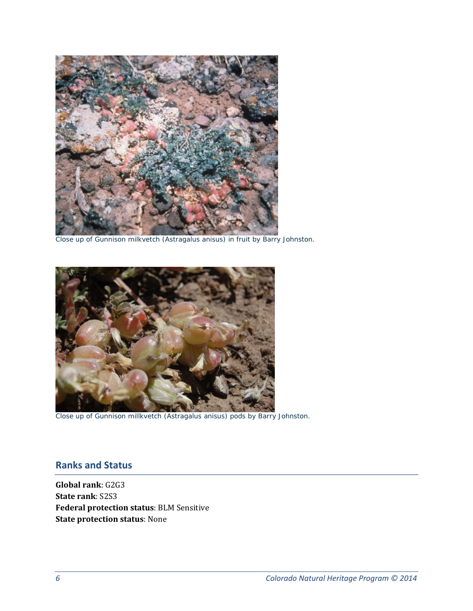

Close up of Gunnison milkvetch (*Astragalus anisus)* in fruit by Barry Johnston.



Close up of Gunnison millkvetch (*Astragalus anisus)* pods by Barry Johnston.

### **Ranks and Status**

**Global rank**: G2G3 **State rank**: S2S3 **Federal protection status**: BLM Sensitive **State protection status**: None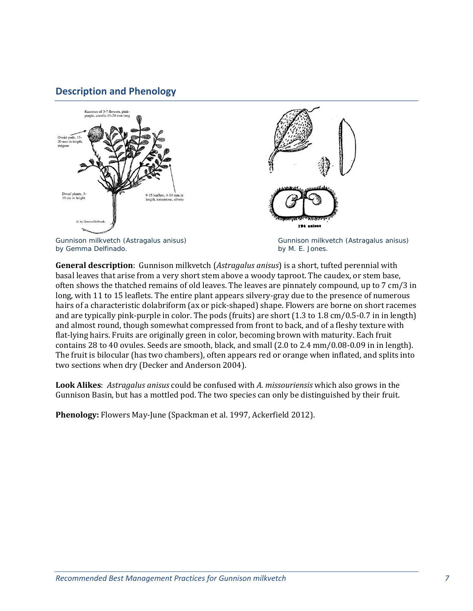### **Description and Phenology**



**General description**: Gunnison milkvetch *(Astragalus anisus)* is a short, tufted perennial with basal leaves that arise from a very short stem above a woody taproot. The caudex, or stem base, often shows the thatched remains of old leaves. The leaves are pinnately compound, up to 7 cm/3 in long, with 11 to 15 leaflets. The entire plant appears silvery-gray due to the presence of numerous hairs of a characteristic dolabriform (ax or pick-shaped) shape. Flowers are borne on short racemes and are typically pink-purple in color. The pods (fruits) are short  $(1.3 \text{ to } 1.8 \text{ cm}/0.5 \cdot 0.7 \text{ in } \text{length})$ and almost round, though somewhat compressed from front to back, and of a fleshy texture with flat-lying hairs. Fruits are originally green in color, becoming brown with maturity. Each fruit contains 28 to 40 ovules. Seeds are smooth, black, and small (2.0 to 2.4 mm/0.08-0.09 in in length). The fruit is bilocular (has two chambers), often appears red or orange when inflated, and splits into two sections when dry (Decker and Anderson 2004).

**Look Alikes**: *Astragalus anisus* could be confused with A. *missouriensis* which also grows in the Gunnison Basin, but has a mottled pod. The two species can only be distinguished by their fruit.

**Phenology:** Flowers May-June (Spackman et al. 1997, Ackerfield 2012).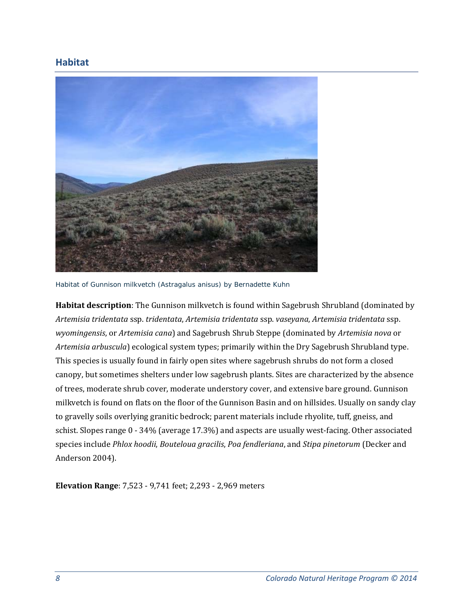### **Habitat**



Habitat of Gunnison milkvetch (*Astragalus anisus)* by Bernadette Kuhn

Habitat description: The Gunnison milkvetch is found within Sagebrush Shrubland (dominated by *Artemisia tridentata* ssp. *tridentata*, *Artemisia tridentata* ssp. *vaseyana*, *Artemisia tridentata* ssp. wyomingensis, or Artemisia cana) and Sagebrush Shrub Steppe (dominated by Artemisia nova or *Artemisia arbuscula*) ecological system types; primarily within the Dry Sagebrush Shrubland type. This species is usually found in fairly open sites where sagebrush shrubs do not form a closed canopy, but sometimes shelters under low sagebrush plants. Sites are characterized by the absence of trees, moderate shrub cover, moderate understory cover, and extensive bare ground. Gunnison milkvetch is found on flats on the floor of the Gunnison Basin and on hillsides. Usually on sandy clay to gravelly soils overlying granitic bedrock; parent materials include rhyolite, tuff, gneiss, and schist. Slopes range 0 - 34% (average 17.3%) and aspects are usually west-facing. Other associated species include *Phlox hoodii*, *Bouteloua gracilis*, *Poa fendleriana*, and *Stipa pinetorum* (Decker and Anderson 2004).

**Elevation Range:** 7,523 - 9,741 feet; 2,293 - 2,969 meters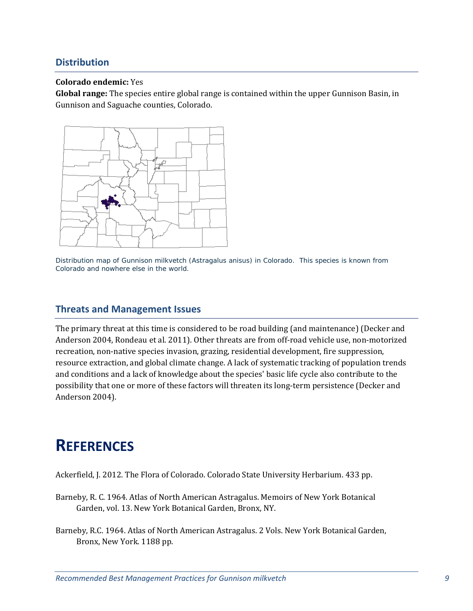### **Distribution**

#### **Colorado endemic:** Yes

**Global range:** The species entire global range is contained within the upper Gunnison Basin, in Gunnison and Saguache counties, Colorado.



Distribution map of Gunnison milkvetch (*Astragalus anisus)* in Colorado. This species is known from Colorado and nowhere else in the world.

### **Threats and Management Issues**

The primary threat at this time is considered to be road building (and maintenance) (Decker and Anderson 2004, Rondeau et al. 2011). Other threats are from off-road vehicle use, non-motorized recreation, non-native species invasion, grazing, residential development, fire suppression, resource extraction, and global climate change. A lack of systematic tracking of population trends and conditions and a lack of knowledge about the species' basic life cycle also contribute to the possibility that one or more of these factors will threaten its long-term persistence (Decker and Anderson 2004).

### **REFERENCES**

Ackerfield, J. 2012. The Flora of Colorado. Colorado State University Herbarium. 433 pp.

- Barneby, R. C. 1964. Atlas of North American Astragalus. Memoirs of New York Botanical Garden, vol. 13. New York Botanical Garden, Bronx, NY.
- Barneby, R.C. 1964. Atlas of North American Astragalus. 2 Vols. New York Botanical Garden, Bronx, New York. 1188 pp.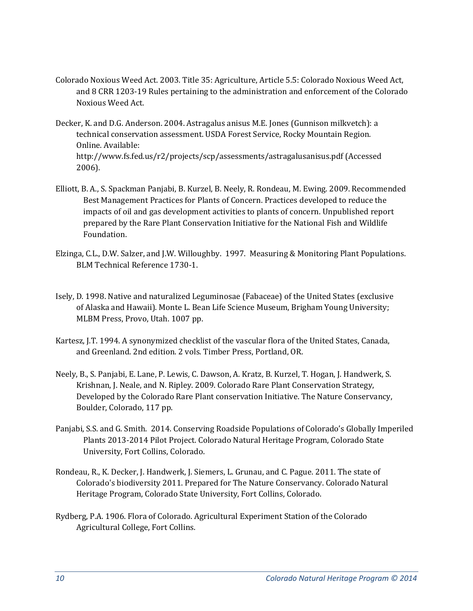- Colorado Noxious Weed Act. 2003. Title 35: Agriculture, Article 5.5: Colorado Noxious Weed Act, and 8 CRR 1203-19 Rules pertaining to the administration and enforcement of the Colorado Noxious Weed Act.
- Decker, K. and D.G. Anderson. 2004. Astragalus anisus M.E. Jones (Gunnison milkvetch): a technical conservation assessment. USDA Forest Service, Rocky Mountain Region. Online. Available: http://www.fs.fed.us/r2/projects/scp/assessments/astragalusanisus.pdf (Accessed 2006).
- Elliott, B. A., S. Spackman Panjabi, B. Kurzel, B. Neely, R. Rondeau, M. Ewing. 2009. Recommended Best Management Practices for Plants of Concern. Practices developed to reduce the impacts of oil and gas development activities to plants of concern. Unpublished report prepared by the Rare Plant Conservation Initiative for the National Fish and Wildlife Foundation.
- Elzinga, C.L., D.W. Salzer, and J.W. Willoughby. 1997. Measuring & Monitoring Plant Populations. BLM Technical Reference 1730‐1.
- Isely, D. 1998. Native and naturalized Leguminosae (Fabaceae) of the United States (exclusive of Alaska and Hawaii). Monte L. Bean Life Science Museum, Brigham Young University; MLBM Press, Provo, Utah. 1007 pp.
- Kartesz, J.T. 1994. A synonymized checklist of the vascular flora of the United States, Canada, and Greenland. 2nd edition. 2 vols. Timber Press, Portland, OR.
- Neely, B., S. Panjabi, E. Lane, P. Lewis, C. Dawson, A. Kratz, B. Kurzel, T. Hogan, J. Handwerk, S. Krishnan, J. Neale, and N. Ripley. 2009. Colorado Rare Plant Conservation Strategy, Developed by the Colorado Rare Plant conservation Initiative. The Nature Conservancy, Boulder, Colorado, 117 pp.
- Panjabi, S.S. and G. Smith. 2014. Conserving Roadside Populations of Colorado's Globally Imperiled Plants 2013-2014 Pilot Project. Colorado Natural Heritage Program, Colorado State University, Fort Collins, Colorado.
- Rondeau, R., K. Decker, J. Handwerk, J. Siemers, L. Grunau, and C. Pague. 2011. The state of Colorado's biodiversity 2011. Prepared for The Nature Conservancy. Colorado Natural Heritage Program, Colorado State University, Fort Collins, Colorado.
- Rydberg, P.A. 1906. Flora of Colorado. Agricultural Experiment Station of the Colorado Agricultural College, Fort Collins.